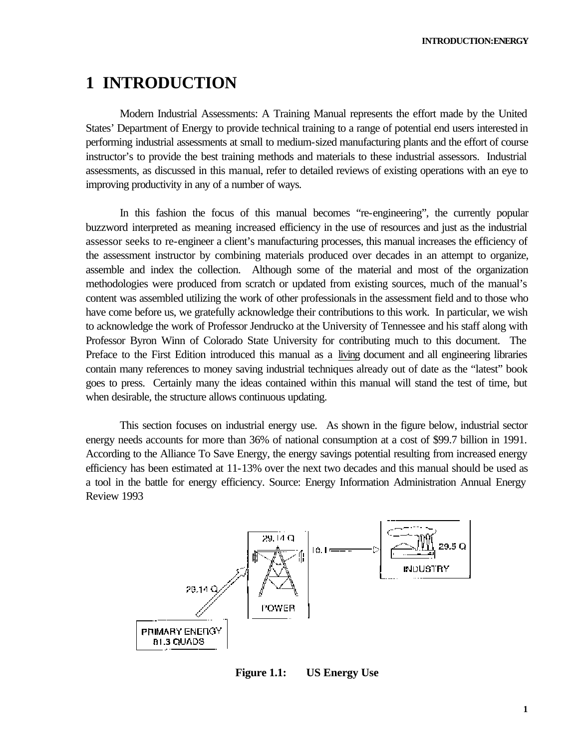# **1 INTRODUCTION**

Modern Industrial Assessments: A Training Manual represents the effort made by the United States' Department of Energy to provide technical training to a range of potential end users interested in performing industrial assessments at small to medium-sized manufacturing plants and the effort of course instructor's to provide the best training methods and materials to these industrial assessors. Industrial assessments, as discussed in this manual, refer to detailed reviews of existing operations with an eye to improving productivity in any of a number of ways.

In this fashion the focus of this manual becomes "re-engineering", the currently popular buzzword interpreted as meaning increased efficiency in the use of resources and just as the industrial assessor seeks to re-engineer a client's manufacturing processes, this manual increases the efficiency of the assessment instructor by combining materials produced over decades in an attempt to organize, assemble and index the collection. Although some of the material and most of the organization methodologies were produced from scratch or updated from existing sources, much of the manual's content was assembled utilizing the work of other professionals in the assessment field and to those who have come before us, we gratefully acknowledge their contributions to this work. In particular, we wish to acknowledge the work of Professor Jendrucko at the University of Tennessee and his staff along with Professor Byron Winn of Colorado State University for contributing much to this document. The Preface to the First Edition introduced this manual as a living document and all engineering libraries contain many references to money saving industrial techniques already out of date as the "latest" book goes to press. Certainly many the ideas contained within this manual will stand the test of time, but when desirable, the structure allows continuous updating.

This section focuses on industrial energy use. As shown in the figure below, industrial sector energy needs accounts for more than 36% of national consumption at a cost of \$99.7 billion in 1991. According to the Alliance To Save Energy, the energy savings potential resulting from increased energy efficiency has been estimated at 11-13% over the next two decades and this manual should be used as a tool in the battle for energy efficiency. Source: Energy Information Administration Annual Energy Review 1993



**Figure 1.1: US Energy Use**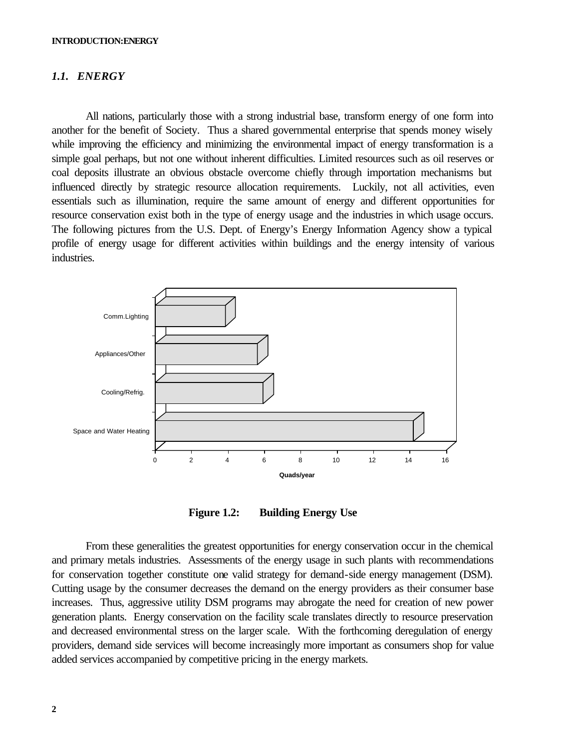### *1.1. ENERGY*

All nations, particularly those with a strong industrial base, transform energy of one form into another for the benefit of Society. Thus a shared governmental enterprise that spends money wisely while improving the efficiency and minimizing the environmental impact of energy transformation is a simple goal perhaps, but not one without inherent difficulties. Limited resources such as oil reserves or coal deposits illustrate an obvious obstacle overcome chiefly through importation mechanisms but influenced directly by strategic resource allocation requirements. Luckily, not all activities, even essentials such as illumination, require the same amount of energy and different opportunities for resource conservation exist both in the type of energy usage and the industries in which usage occurs. The following pictures from the U.S. Dept. of Energy's Energy Information Agency show a typical profile of energy usage for different activities within buildings and the energy intensity of various industries.



**Figure 1.2: Building Energy Use** 

From these generalities the greatest opportunities for energy conservation occur in the chemical and primary metals industries. Assessments of the energy usage in such plants with recommendations for conservation together constitute one valid strategy for demand-side energy management (DSM). Cutting usage by the consumer decreases the demand on the energy providers as their consumer base increases. Thus, aggressive utility DSM programs may abrogate the need for creation of new power generation plants. Energy conservation on the facility scale translates directly to resource preservation and decreased environmental stress on the larger scale. With the forthcoming deregulation of energy providers, demand side services will become increasingly more important as consumers shop for value added services accompanied by competitive pricing in the energy markets.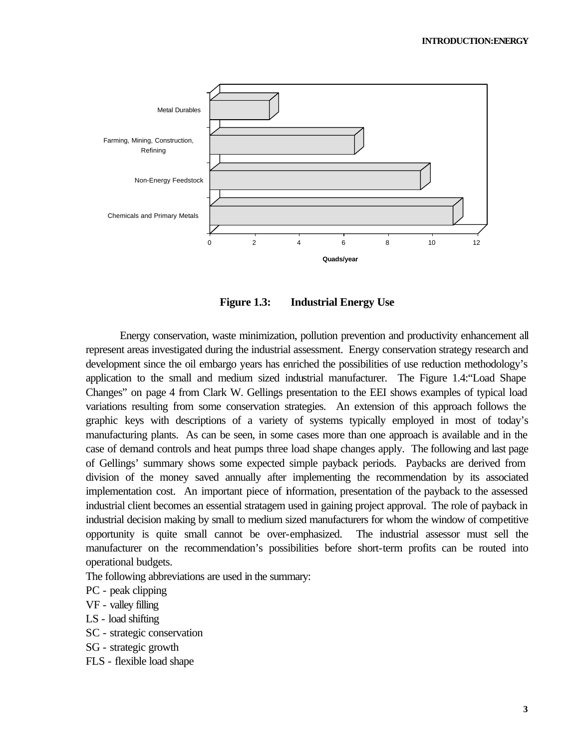

**Figure 1.3: Industrial Energy Use**

Energy conservation, waste minimization, pollution prevention and productivity enhancement all represent areas investigated during the industrial assessment. Energy conservation strategy research and development since the oil embargo years has enriched the possibilities of use reduction methodology's application to the small and medium sized industrial manufacturer. The Figure 1.4:"Load Shape Changes" on page 4 from Clark W. Gellings presentation to the EEI shows examples of typical load variations resulting from some conservation strategies. An extension of this approach follows the graphic keys with descriptions of a variety of systems typically employed in most of today's manufacturing plants. As can be seen, in some cases more than one approach is available and in the case of demand controls and heat pumps three load shape changes apply. The following and last page of Gellings' summary shows some expected simple payback periods. Paybacks are derived from division of the money saved annually after implementing the recommendation by its associated implementation cost. An important piece of information, presentation of the payback to the assessed industrial client becomes an essential stratagem used in gaining project approval. The role of payback in industrial decision making by small to medium sized manufacturers for whom the window of competitive opportunity is quite small cannot be over-emphasized. The industrial assessor must sell the manufacturer on the recommendation's possibilities before short-term profits can be routed into operational budgets.

The following abbreviations are used in the summary:

PC - peak clipping

VF - valley filling

LS - load shifting

SC - strategic conservation

SG - strategic growth

FLS - flexible load shape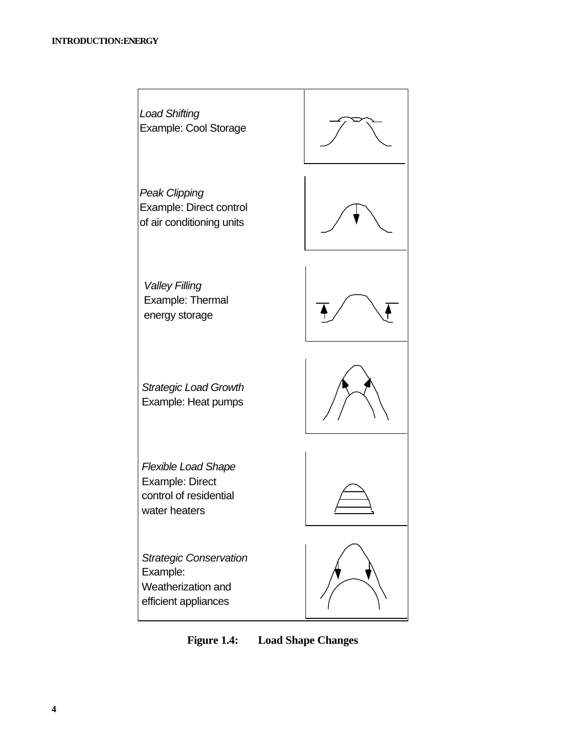

**Figure 1.4: Load Shape Changes**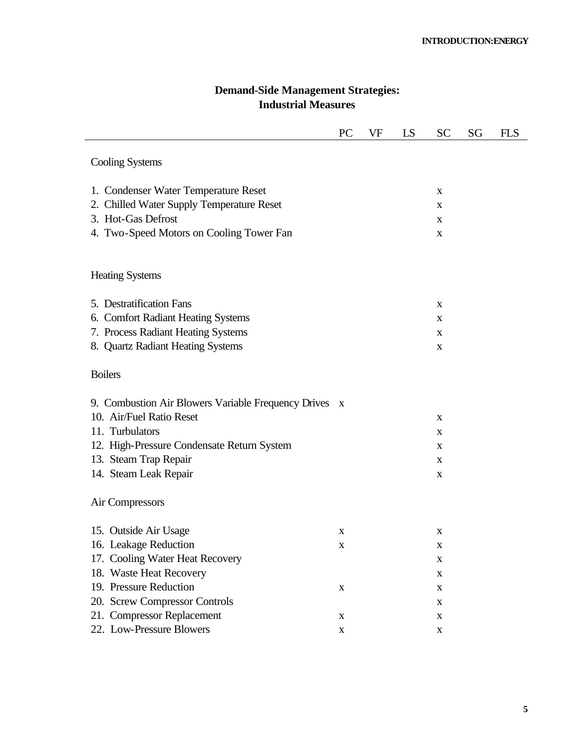|                                                                                                                                                                                                      | PC                    | VF | LS | SC                                                            | SG | <b>FLS</b> |
|------------------------------------------------------------------------------------------------------------------------------------------------------------------------------------------------------|-----------------------|----|----|---------------------------------------------------------------|----|------------|
| <b>Cooling Systems</b>                                                                                                                                                                               |                       |    |    |                                                               |    |            |
| 1. Condenser Water Temperature Reset<br>2. Chilled Water Supply Temperature Reset<br>3. Hot-Gas Defrost<br>4. Two-Speed Motors on Cooling Tower Fan                                                  |                       |    |    | X<br>X<br>X<br>X                                              |    |            |
| <b>Heating Systems</b>                                                                                                                                                                               |                       |    |    |                                                               |    |            |
| 5. Destratification Fans<br><b>Comfort Radiant Heating Systems</b><br>6.<br>7. Process Radiant Heating Systems<br>8. Quartz Radiant Heating Systems                                                  |                       |    |    | X<br>X<br>X<br>X                                              |    |            |
| <b>Boilers</b>                                                                                                                                                                                       |                       |    |    |                                                               |    |            |
| 9. Combustion Air Blowers Variable Frequency Drives x<br>10. Air/Fuel Ratio Reset<br>11. Turbulators<br>12. High-Pressure Condensate Return System<br>13. Steam Trap Repair<br>14. Steam Leak Repair |                       |    |    | X<br>X<br>X<br>X<br>X                                         |    |            |
| Air Compressors                                                                                                                                                                                      |                       |    |    |                                                               |    |            |
| 15. Outside Air Usage<br>16. Leakage Reduction<br>17. Cooling Water Heat Recovery<br>18. Waste Heat Recovery<br>19. Pressure Reduction                                                               | X<br>$\mathbf X$<br>X |    |    | X<br>$\mathbf X$<br>$\mathbf X$<br>$\mathbf X$<br>$\mathbf X$ |    |            |
| 20. Screw Compressor Controls<br>21. Compressor Replacement<br>22. Low-Pressure Blowers                                                                                                              | $\mathbf X$<br>X      |    |    | $\mathbf X$<br>$\mathbf X$<br>$\mathbf X$                     |    |            |

# **Demand-Side Management Strategies: Industrial Measures**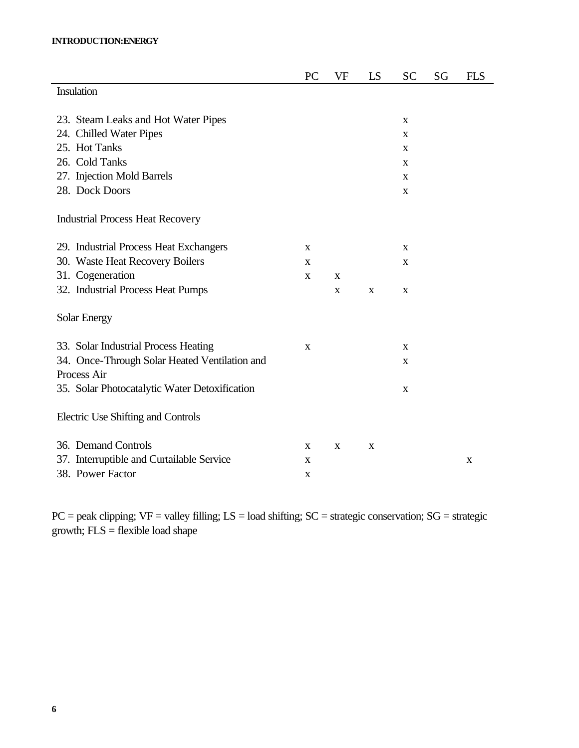### **INTRODUCTION:ENERGY**

|                                               | PC          | VF | LS | <b>SC</b>                 | SG | <b>FLS</b> |
|-----------------------------------------------|-------------|----|----|---------------------------|----|------------|
| Insulation                                    |             |    |    |                           |    |            |
|                                               |             |    |    |                           |    |            |
| 23. Steam Leaks and Hot Water Pipes           |             |    |    | X                         |    |            |
| 24. Chilled Water Pipes                       |             |    |    | X                         |    |            |
| 25. Hot Tanks                                 |             |    |    | X                         |    |            |
| 26. Cold Tanks                                |             |    |    | X                         |    |            |
| 27. Injection Mold Barrels                    |             |    |    | X                         |    |            |
| 28. Dock Doors                                |             |    |    | $\boldsymbol{\mathrm{X}}$ |    |            |
| <b>Industrial Process Heat Recovery</b>       |             |    |    |                           |    |            |
|                                               |             |    |    |                           |    |            |
| 29. Industrial Process Heat Exchangers        | X           |    |    | X                         |    |            |
| 30. Waste Heat Recovery Boilers               | X           |    |    | X                         |    |            |
| 31. Cogeneration                              | $\mathbf X$ | X  |    |                           |    |            |
| 32. Industrial Process Heat Pumps             |             | X  | X  | X                         |    |            |
| Solar Energy                                  |             |    |    |                           |    |            |
| 33. Solar Industrial Process Heating          | $\mathbf X$ |    |    | $\mathbf X$               |    |            |
| 34. Once-Through Solar Heated Ventilation and |             |    |    | X                         |    |            |
| Process Air                                   |             |    |    |                           |    |            |
| 35. Solar Photocatalytic Water Detoxification |             |    |    | $\mathbf X$               |    |            |
| Electric Use Shifting and Controls            |             |    |    |                           |    |            |
| 36. Demand Controls                           | X           | X  | X  |                           |    |            |
| 37. Interruptible and Curtailable Service     | X           |    |    |                           |    | X          |
| 38. Power Factor                              | X           |    |    |                           |    |            |

ц,

 $PC = peak$  clipping;  $VF = valley$  filling;  $LS = load$  shifting;  $SC = strategic$  conservation;  $SG = strategic$ growth; FLS = flexible load shape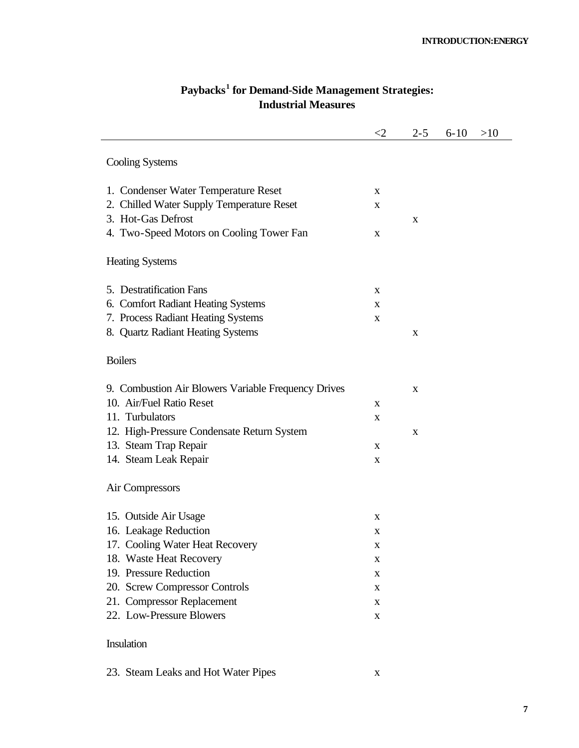|                                                     | ${<}2$      | $2 - 5$     | $6 - 10$ | >10 |
|-----------------------------------------------------|-------------|-------------|----------|-----|
| <b>Cooling Systems</b>                              |             |             |          |     |
| 1. Condenser Water Temperature Reset                | X           |             |          |     |
| 2. Chilled Water Supply Temperature Reset           | X           |             |          |     |
| 3. Hot-Gas Defrost                                  |             | X           |          |     |
| 4. Two-Speed Motors on Cooling Tower Fan            | X           |             |          |     |
| <b>Heating Systems</b>                              |             |             |          |     |
| 5. Destratification Fans                            | X           |             |          |     |
| 6. Comfort Radiant Heating Systems                  | X           |             |          |     |
| 7. Process Radiant Heating Systems                  | $\mathbf X$ |             |          |     |
| 8. Quartz Radiant Heating Systems                   |             | X           |          |     |
| <b>Boilers</b>                                      |             |             |          |     |
| 9. Combustion Air Blowers Variable Frequency Drives |             | X           |          |     |
| 10. Air/Fuel Ratio Reset                            | X           |             |          |     |
| 11. Turbulators                                     | X           |             |          |     |
| 12. High-Pressure Condensate Return System          |             | $\mathbf X$ |          |     |
| 13. Steam Trap Repair                               | X           |             |          |     |
| 14. Steam Leak Repair                               | X           |             |          |     |
| Air Compressors                                     |             |             |          |     |
| 15. Outside Air Usage                               | X           |             |          |     |
| 16. Leakage Reduction                               | X           |             |          |     |
| 17. Cooling Water Heat Recovery                     | X           |             |          |     |
| 18. Waste Heat Recovery                             | X           |             |          |     |
| 19. Pressure Reduction                              | $\mathbf X$ |             |          |     |
| 20. Screw Compressor Controls                       | $\mathbf X$ |             |          |     |
| 21. Compressor Replacement                          | $\mathbf X$ |             |          |     |
| 22. Low-Pressure Blowers                            | $\mathbf X$ |             |          |     |
| Insulation                                          |             |             |          |     |

### **Paybacks<sup>1</sup> for Demand-Side Management Strategies: Industrial Measures**

23. Steam Leaks and Hot Water Pipes x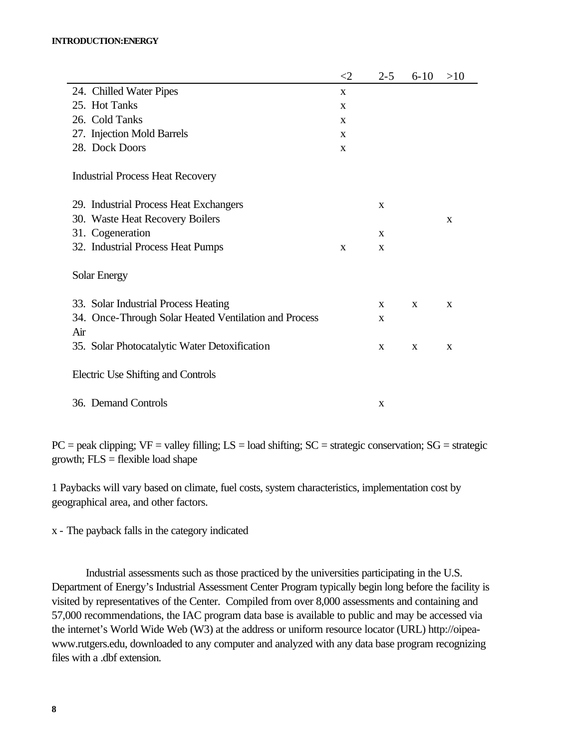#### **INTRODUCTION:ENERGY**

|                                                       | $\leq$ 2    | $2 - 5$ | $6 - 10$ | >10 |
|-------------------------------------------------------|-------------|---------|----------|-----|
| 24. Chilled Water Pipes                               | X           |         |          |     |
| 25. Hot Tanks                                         | X           |         |          |     |
| 26. Cold Tanks                                        | X           |         |          |     |
| 27. Injection Mold Barrels                            | X           |         |          |     |
| 28. Dock Doors                                        | $\mathbf X$ |         |          |     |
| <b>Industrial Process Heat Recovery</b>               |             |         |          |     |
| 29. Industrial Process Heat Exchangers                |             | X       |          |     |
| 30. Waste Heat Recovery Boilers                       |             |         |          | X   |
| 31. Cogeneration                                      |             | X       |          |     |
| 32. Industrial Process Heat Pumps                     | X           | X       |          |     |
| <b>Solar Energy</b>                                   |             |         |          |     |
| 33. Solar Industrial Process Heating                  |             | X       | X        | X   |
| 34. Once-Through Solar Heated Ventilation and Process |             | X       |          |     |
| Air                                                   |             |         |          |     |
| 35. Solar Photocatalytic Water Detoxification         |             | X       | X        | X   |
| Electric Use Shifting and Controls                    |             |         |          |     |
| 36. Demand Controls                                   |             | X       |          |     |

 $PC = peak clipping$ ;  $VF = valley filling$ ;  $LS = load shifting$ ;  $SC = strategic conservation$ ;  $SG = strategic$ growth;  $FLS = flexible load shape$ 

1 Paybacks will vary based on climate, fuel costs, system characteristics, implementation cost by geographical area, and other factors.

x - The payback falls in the category indicated

Industrial assessments such as those practiced by the universities participating in the U.S. Department of Energy's Industrial Assessment Center Program typically begin long before the facility is visited by representatives of the Center. Compiled from over 8,000 assessments and containing and 57,000 recommendations, the IAC program data base is available to public and may be accessed via the internet's World Wide Web (W3) at the address or uniform resource locator (URL) http://oipeawww.rutgers.edu, downloaded to any computer and analyzed with any data base program recognizing files with a .dbf extension.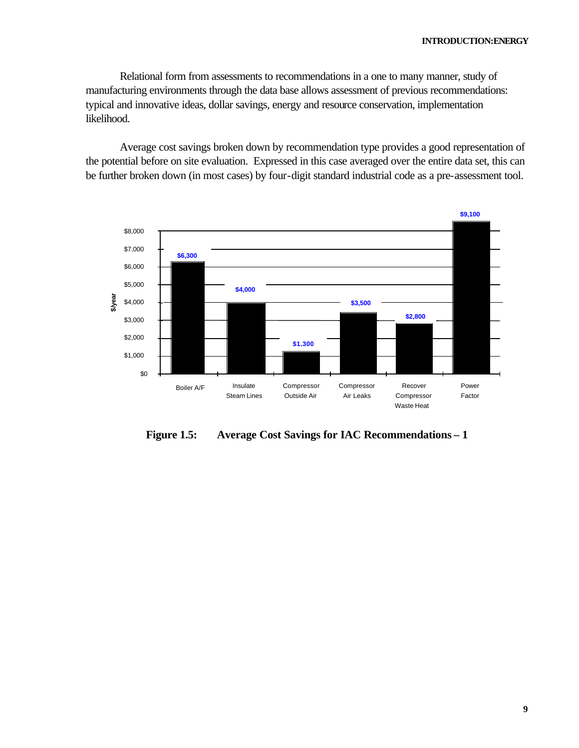Relational form from assessments to recommendations in a one to many manner, study of manufacturing environments through the data base allows assessment of previous recommendations: typical and innovative ideas, dollar savings, energy and resource conservation, implementation likelihood.

Average cost savings broken down by recommendation type provides a good representation of the potential before on site evaluation. Expressed in this case averaged over the entire data set, this can be further broken down (in most cases) by four-digit standard industrial code as a pre-assessment tool.



**Figure 1.5: Average Cost Savings for IAC Recommendations – 1**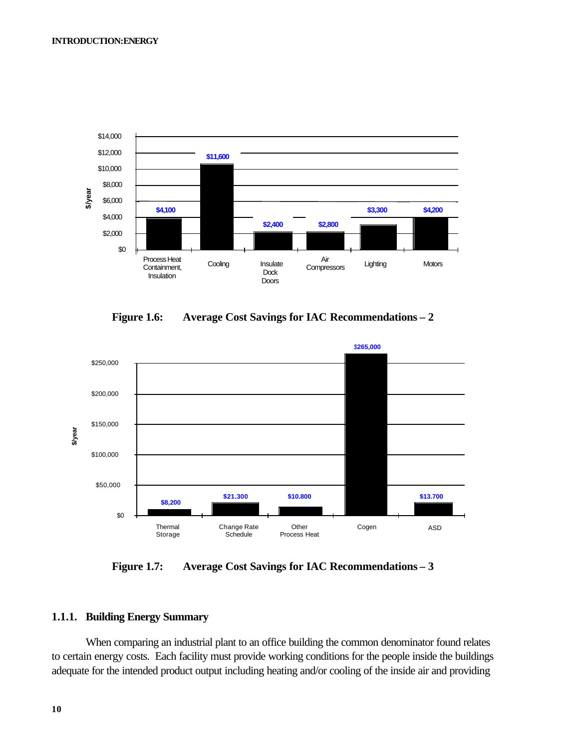

**Figure 1.6: Average Cost Savings for IAC Recommendations – 2** 



**Figure 1.7: Average Cost Savings for IAC Recommendations – 3** 

### **1.1.1. Building Energy Summary**

When comparing an industrial plant to an office building the common denominator found relates to certain energy costs. Each facility must provide working conditions for the people inside the buildings adequate for the intended product output including heating and/or cooling of the inside air and providing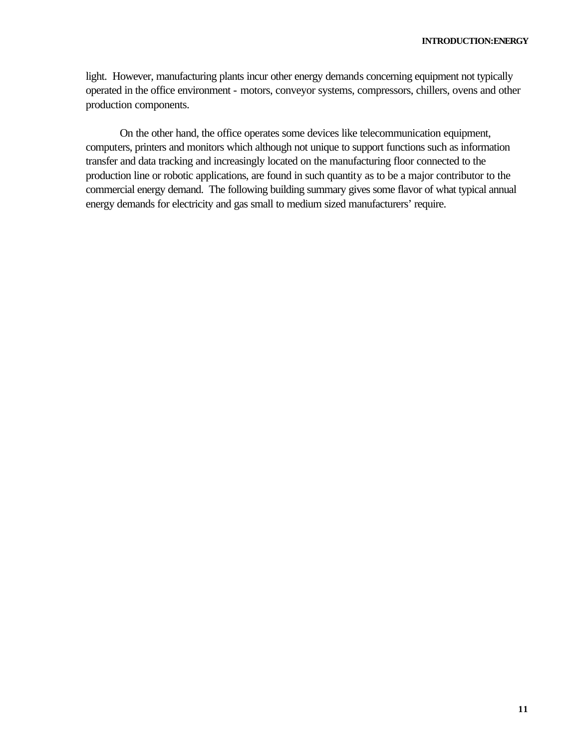light. However, manufacturing plants incur other energy demands concerning equipment not typically operated in the office environment - motors, conveyor systems, compressors, chillers, ovens and other production components.

On the other hand, the office operates some devices like telecommunication equipment, computers, printers and monitors which although not unique to support functions such as information transfer and data tracking and increasingly located on the manufacturing floor connected to the production line or robotic applications, are found in such quantity as to be a major contributor to the commercial energy demand. The following building summary gives some flavor of what typical annual energy demands for electricity and gas small to medium sized manufacturers' require.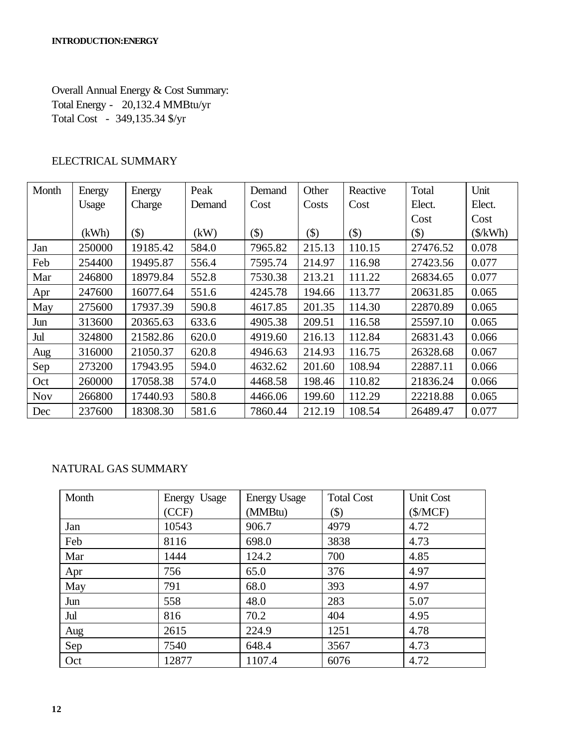Overall Annual Energy & Cost Summary: Total Energy - 20,132.4 MMBtu/yr Total Cost - 349,135.34 \$/yr

# ELECTRICAL SUMMARY

| Month      | Energy | Energy   | Peak   | Demand  | Other   | Reactive | Total    | Unit             |
|------------|--------|----------|--------|---------|---------|----------|----------|------------------|
|            | Usage  | Charge   | Demand | Cost    | Costs   | Cost     | Elect.   | Elect.           |
|            |        |          |        |         |         |          | Cost     | Cost             |
|            | (kWh)  | $($ \$)  | (kW)   | $(\$)$  | $($ \$) | $(\$)$   | $(\$)$   | $(\frac{K}{Wh})$ |
| Jan        | 250000 | 19185.42 | 584.0  | 7965.82 | 215.13  | 110.15   | 27476.52 | 0.078            |
| Feb        | 254400 | 19495.87 | 556.4  | 7595.74 | 214.97  | 116.98   | 27423.56 | 0.077            |
| Mar        | 246800 | 18979.84 | 552.8  | 7530.38 | 213.21  | 111.22   | 26834.65 | 0.077            |
| Apr        | 247600 | 16077.64 | 551.6  | 4245.78 | 194.66  | 113.77   | 20631.85 | 0.065            |
| May        | 275600 | 17937.39 | 590.8  | 4617.85 | 201.35  | 114.30   | 22870.89 | 0.065            |
| Jun        | 313600 | 20365.63 | 633.6  | 4905.38 | 209.51  | 116.58   | 25597.10 | 0.065            |
| Jul        | 324800 | 21582.86 | 620.0  | 4919.60 | 216.13  | 112.84   | 26831.43 | 0.066            |
| Aug        | 316000 | 21050.37 | 620.8  | 4946.63 | 214.93  | 116.75   | 26328.68 | 0.067            |
| Sep        | 273200 | 17943.95 | 594.0  | 4632.62 | 201.60  | 108.94   | 22887.11 | 0.066            |
| Oct        | 260000 | 17058.38 | 574.0  | 4468.58 | 198.46  | 110.82   | 21836.24 | 0.066            |
| <b>Nov</b> | 266800 | 17440.93 | 580.8  | 4466.06 | 199.60  | 112.29   | 22218.88 | 0.065            |
| Dec        | 237600 | 18308.30 | 581.6  | 7860.44 | 212.19  | 108.54   | 26489.47 | 0.077            |

# NATURAL GAS SUMMARY

| Month | Energy Usage | <b>Energy Usage</b> | <b>Total Cost</b> | Unit Cost |
|-------|--------------|---------------------|-------------------|-----------|
|       | (CCF)        | (MMBtu)             | $(\$)$            | (\$/MCF)  |
| Jan   | 10543        | 906.7               | 4979              | 4.72      |
| Feb   | 8116         | 698.0               | 3838              | 4.73      |
| Mar   | 1444         | 124.2               | 700               | 4.85      |
| Apr   | 756          | 65.0                | 376               | 4.97      |
| May   | 791          | 68.0                | 393               | 4.97      |
| Jun   | 558          | 48.0                | 283               | 5.07      |
| Jul   | 816          | 70.2                | 404               | 4.95      |
| Aug   | 2615         | 224.9               | 1251              | 4.78      |
| Sep   | 7540         | 648.4               | 3567              | 4.73      |
| Oct   | 12877        | 1107.4              | 6076              | 4.72      |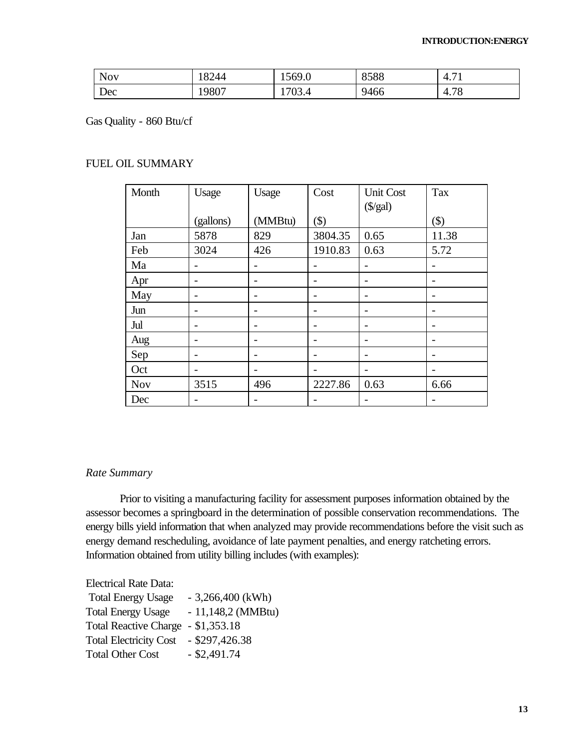| <b>NOV</b> | 8244  | $\sim$<br>1569.0   | 8588 | $\overline{\phantom{0}}$<br>4<br>T. I L |
|------------|-------|--------------------|------|-----------------------------------------|
| Dec        | 19807 | $\sqrt{2}$<br>VJ.4 | 9466 | 70<br>7.70<br>ഺ                         |

Gas Quality - 860 Btu/cf

### FUEL OIL SUMMARY

| Month      | Usage                    | Usage   | Cost    | <b>Unit Cost</b><br>$(\frac{5}{gal})$ | Tax    |
|------------|--------------------------|---------|---------|---------------------------------------|--------|
|            | (gallons)                | (MMBtu) | $(\$)$  |                                       | $(\$)$ |
| Jan        | 5878                     | 829     | 3804.35 | 0.65                                  | 11.38  |
| Feb        | 3024                     | 426     | 1910.83 | 0.63                                  | 5.72   |
| Ma         |                          |         |         |                                       |        |
| Apr        |                          |         |         |                                       |        |
| May        | $\overline{\phantom{0}}$ |         |         |                                       |        |
| Jun        |                          |         |         |                                       |        |
| Jul        |                          |         |         |                                       |        |
| Aug        | $\overline{\phantom{0}}$ |         |         |                                       |        |
| Sep        | $\overline{\phantom{0}}$ |         |         |                                       |        |
| Oct        |                          |         |         |                                       |        |
| <b>Nov</b> | 3515                     | 496     | 2227.86 | 0.63                                  | 6.66   |
| Dec        | -                        |         |         |                                       |        |

### *Rate Summary*

Prior to visiting a manufacturing facility for assessment purposes information obtained by the assessor becomes a springboard in the determination of possible conservation recommendations. The energy bills yield information that when analyzed may provide recommendations before the visit such as energy demand rescheduling, avoidance of late payment penalties, and energy ratcheting errors. Information obtained from utility billing includes (with examples):

Electrical Rate Data:

| <b>Total Energy Usage</b>          | $-3,266,400$ (kWh)  |
|------------------------------------|---------------------|
| <b>Total Energy Usage</b>          | $-11,148,2$ (MMBtu) |
| Total Reactive Charge - \$1,353.18 |                     |
| <b>Total Electricity Cost</b>      | $-$ \$297,426.38    |
| <b>Total Other Cost</b>            | $-$ \$2,491.74      |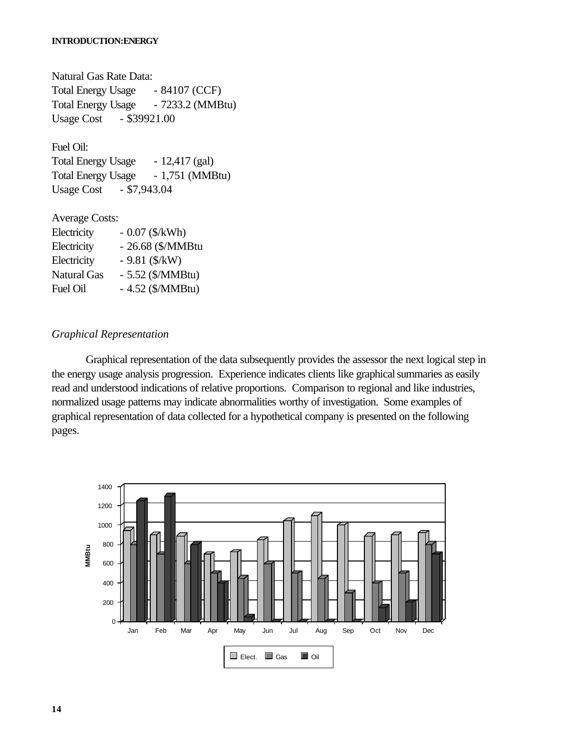#### **INTRODUCTION:ENERGY**

Natural Gas Rate Data: Total Energy Usage - 84107 (CCF) Total Energy Usage - 7233.2 (MMBtu) Usage Cost - \$39921.00

Fuel Oil:

Total Energy Usage - 12,417 (gal) Total Energy Usage - 1,751 (MMBtu) Usage Cost - \$7,943.04

Average Costs: Electricity - 0.07 (\$/kWh) Electricity - 26.68 (\$/MMBtu Electricity  $-9.81$  ( $\frac{\text{K}}{\text{W}}$ ) Natural Gas - 5.52 (\$/MMBtu) Fuel Oil - 4.52 (\$/MMBtu)

### *Graphical Representation*

Graphical representation of the data subsequently provides the assessor the next logical step in the energy usage analysis progression. Experience indicates clients like graphical summaries as easily read and understood indications of relative proportions. Comparison to regional and like industries, normalized usage patterns may indicate abnormalities worthy of investigation. Some examples of graphical representation of data collected for a hypothetical company is presented on the following pages.

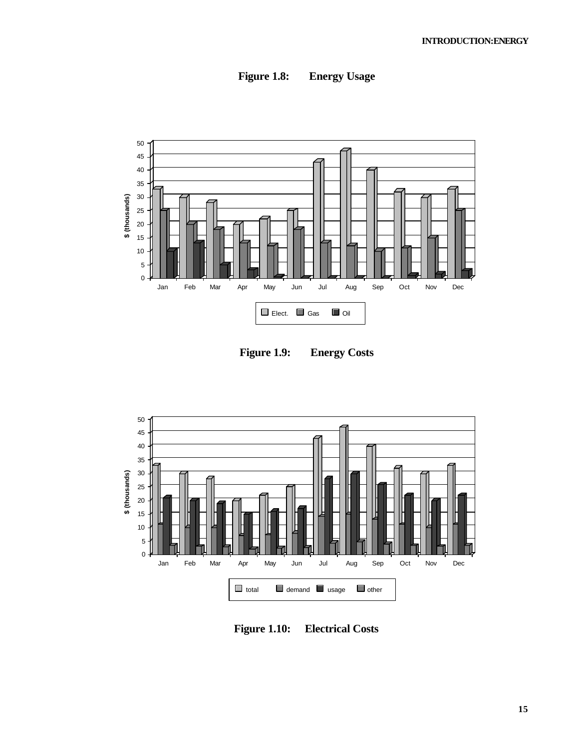

**Figure 1.8: Energy Usage**

**Figure 1.9: Energy Costs**



**Figure 1.10: Electrical Costs**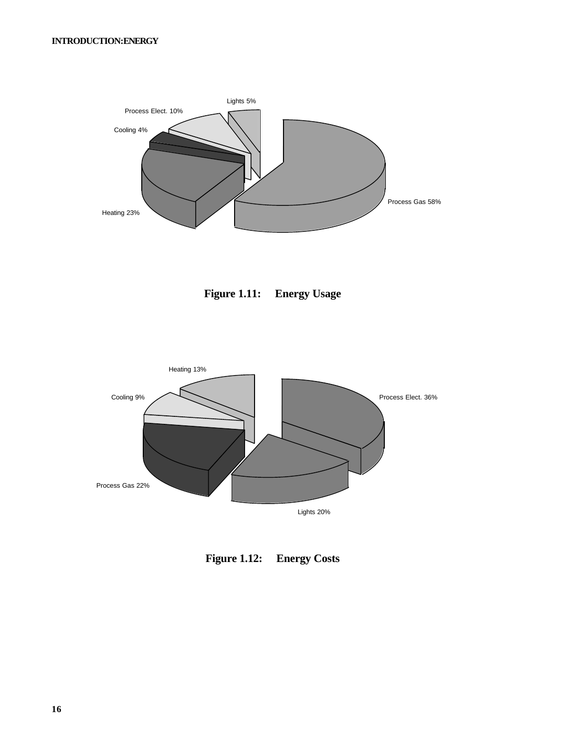





**Figure 1.12: Energy Costs**